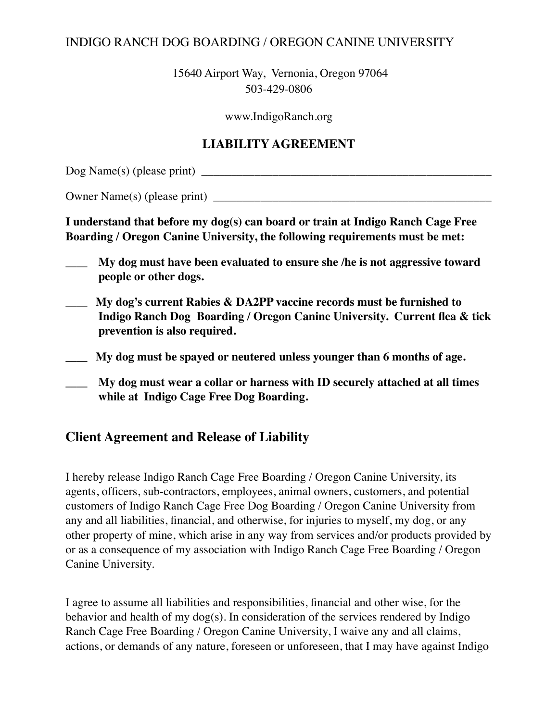## INDIGO RANCH DOG BOARDING / OREGON CANINE UNIVERSITY

15640 Airport Way, Vernonia, Oregon 97064 503-429-0806

www.IndigoRanch.org

## **LIABILITY AGREEMENT**

Dog Name(s) (please print) \_\_\_\_\_\_\_\_\_\_\_\_\_\_\_\_\_\_\_\_\_\_\_\_\_\_\_\_\_\_\_\_\_\_\_\_\_\_\_\_\_\_\_\_\_\_\_\_\_

Owner Name $(s)$  (please print)

**I understand that before my dog(s) can board or train at Indigo Ranch Cage Free Boarding / Oregon Canine University, the following requirements must be met:**

- **\_\_\_\_ My dog must have been evaluated to ensure she /he is not aggressive toward people or other dogs.**
- **\_\_\_\_ My dog's current Rabies & DA2PP vaccine records must be furnished to Indigo Ranch Dog Boarding / Oregon Canine University. Current flea & tick prevention is also required.**
- **\_\_\_\_ My dog must be spayed or neutered unless younger than 6 months of age.**
- **\_\_\_\_ My dog must wear a collar or harness with ID securely attached at all times while at Indigo Cage Free Dog Boarding.**

## **Client Agreement and Release of Liability**

I hereby release Indigo Ranch Cage Free Boarding / Oregon Canine University, its agents, officers, sub-contractors, employees, animal owners, customers, and potential customers of Indigo Ranch Cage Free Dog Boarding / Oregon Canine University from any and all liabilities, financial, and otherwise, for injuries to myself, my dog, or any other property of mine, which arise in any way from services and/or products provided by or as a consequence of my association with Indigo Ranch Cage Free Boarding / Oregon Canine University.

I agree to assume all liabilities and responsibilities, financial and other wise, for the behavior and health of my dog(s). In consideration of the services rendered by Indigo Ranch Cage Free Boarding / Oregon Canine University, I waive any and all claims, actions, or demands of any nature, foreseen or unforeseen, that I may have against Indigo